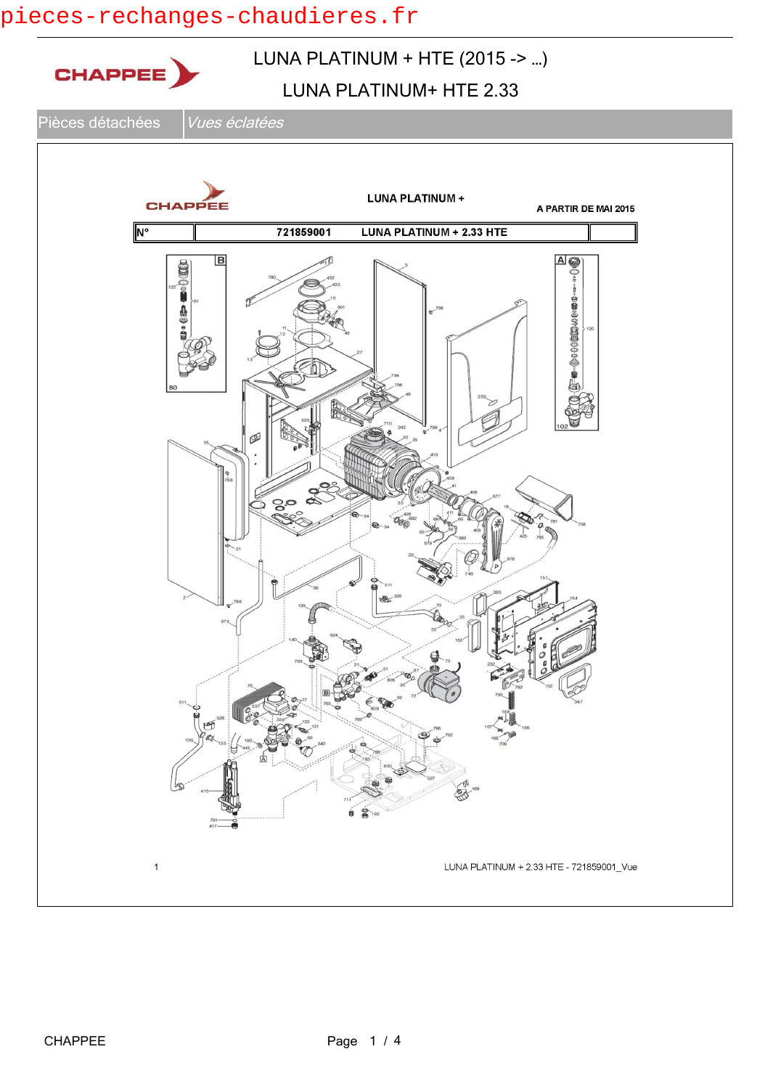## pieces-rechanges-chaudieres.fr

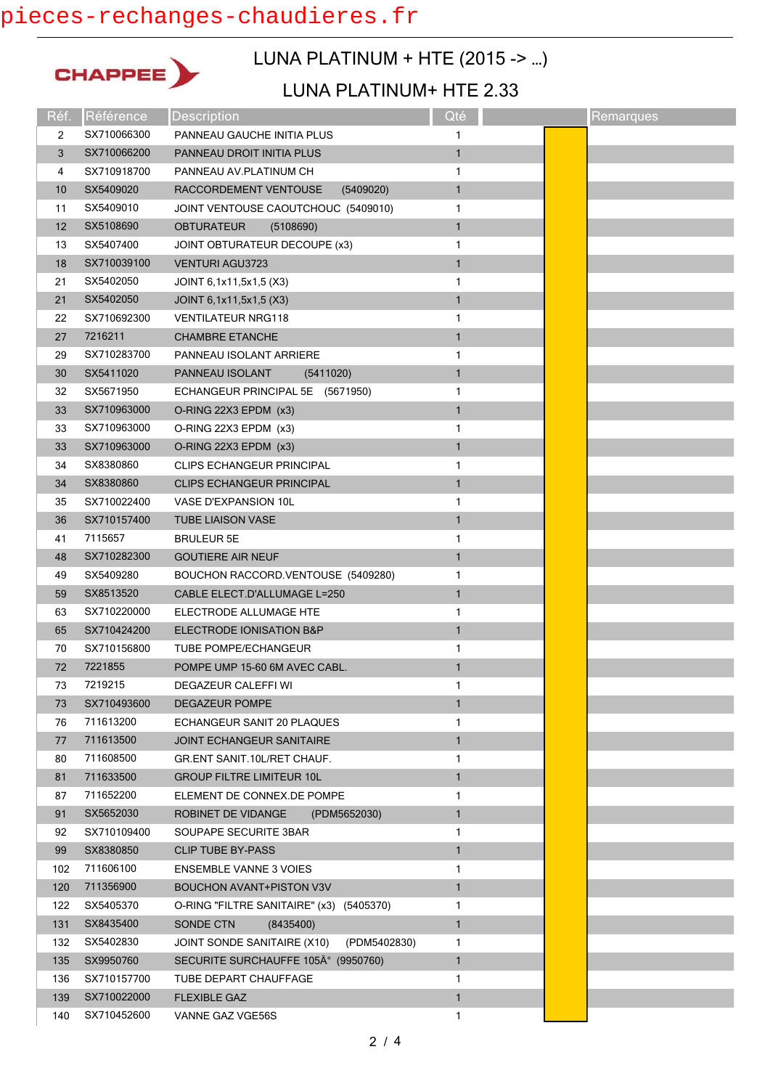# pieces-rechanges-chaudieres.fr



## LUNA PLATINUM + HTE (2015 -> …)

#### LUNA PLATINUM+ HTE 2.33

| Réf. | Référence   | <b>Description</b>                          | Qté          | Remarques |
|------|-------------|---------------------------------------------|--------------|-----------|
| 2    | SX710066300 | PANNEAU GAUCHE INITIA PLUS                  | 1            |           |
| 3    | SX710066200 | PANNEAU DROIT INITIA PLUS                   | $\mathbf{1}$ |           |
| 4    | SX710918700 | PANNEAU AV.PLATINUM CH                      | 1            |           |
| 10   | SX5409020   | RACCORDEMENT VENTOUSE<br>(5409020)          | $\mathbf{1}$ |           |
| 11   | SX5409010   | JOINT VENTOUSE CAOUTCHOUC (5409010)         | 1            |           |
| 12   | SX5108690   | <b>OBTURATEUR</b><br>(5108690)              | $\mathbf{1}$ |           |
| 13   | SX5407400   | JOINT OBTURATEUR DECOUPE (x3)               | 1            |           |
| 18   | SX710039100 | <b>VENTURI AGU3723</b>                      | $\mathbf{1}$ |           |
| 21   | SX5402050   | JOINT 6,1x11,5x1,5 (X3)                     | 1            |           |
| 21   | SX5402050   | JOINT 6,1x11,5x1,5 (X3)                     | $\mathbf{1}$ |           |
| 22   | SX710692300 | <b>VENTILATEUR NRG118</b>                   | 1            |           |
| 27   | 7216211     | <b>CHAMBRE ETANCHE</b>                      | $\mathbf{1}$ |           |
| 29   | SX710283700 | PANNEAU ISOLANT ARRIERE                     | 1            |           |
| 30   | SX5411020   | PANNEAU ISOLANT<br>(5411020)                | $\mathbf{1}$ |           |
| 32   | SX5671950   | ECHANGEUR PRINCIPAL 5E (5671950)            | 1            |           |
| 33   | SX710963000 | O-RING 22X3 EPDM (x3)                       | $\mathbf{1}$ |           |
| 33   | SX710963000 | O-RING 22X3 EPDM (x3)                       | 1            |           |
| 33   | SX710963000 | O-RING 22X3 EPDM (x3)                       | $\mathbf{1}$ |           |
| 34   | SX8380860   | <b>CLIPS ECHANGEUR PRINCIPAL</b>            | 1            |           |
| 34   | SX8380860   | CLIPS ECHANGEUR PRINCIPAL                   | $\mathbf{1}$ |           |
| 35   | SX710022400 | VASE D'EXPANSION 10L                        | 1            |           |
| 36   | SX710157400 | <b>TUBE LIAISON VASE</b>                    | $\mathbf{1}$ |           |
| 41   | 7115657     | <b>BRULEUR 5E</b>                           | 1            |           |
| 48   | SX710282300 | <b>GOUTIERE AIR NEUF</b>                    | $\mathbf{1}$ |           |
| 49   | SX5409280   | BOUCHON RACCORD.VENTOUSE (5409280)          | 1            |           |
| 59   | SX8513520   | CABLE ELECT.D'ALLUMAGE L=250                | $\mathbf{1}$ |           |
| 63   | SX710220000 | ELECTRODE ALLUMAGE HTE                      | 1            |           |
| 65   | SX710424200 | ELECTRODE IONISATION B&P                    | $\mathbf{1}$ |           |
| 70   | SX710156800 | <b>TUBE POMPE/ECHANGEUR</b>                 | 1            |           |
| 72   | 7221855     | POMPE UMP 15-60 6M AVEC CABL.               | $\mathbf{1}$ |           |
| 73   | 7219215     | DEGAZEUR CALEFFI WI                         | 1            |           |
| 73   | SX710493600 | <b>DEGAZEUR POMPE</b>                       | 1            |           |
| 76   | 711613200   | ECHANGEUR SANIT 20 PLAQUES                  | 1            |           |
| 77   | 711613500   | <b>JOINT ECHANGEUR SANITAIRE</b>            | $\mathbf{1}$ |           |
| 80   | 711608500   | GR.ENT SANIT.10L/RET CHAUF.                 | 1            |           |
| 81   | 711633500   | <b>GROUP FILTRE LIMITEUR 10L</b>            | $\mathbf{1}$ |           |
| 87   | 711652200   | ELEMENT DE CONNEX.DE POMPE                  | 1            |           |
| 91   | SX5652030   | <b>ROBINET DE VIDANGE</b><br>(PDM5652030)   | 1            |           |
| 92   | SX710109400 | SOUPAPE SECURITE 3BAR                       | 1            |           |
| 99   | SX8380850   | <b>CLIP TUBE BY-PASS</b>                    | $\mathbf{1}$ |           |
| 102  | 711606100   | <b>ENSEMBLE VANNE 3 VOIES</b>               | 1            |           |
| 120  | 711356900   | <b>BOUCHON AVANT+PISTON V3V</b>             | $\mathbf{1}$ |           |
| 122  | SX5405370   | O-RING "FILTRE SANITAIRE" (x3) (5405370)    | 1            |           |
| 131  | SX8435400   | (8435400)<br>SONDE CTN                      | $\mathbf{1}$ |           |
| 132  | SX5402830   | JOINT SONDE SANITAIRE (X10)<br>(PDM5402830) | 1            |           |
| 135  | SX9950760   | SECURITE SURCHAUFFE 105° (9950760)          | 1            |           |
| 136  | SX710157700 | TUBE DEPART CHAUFFAGE                       | 1            |           |
| 139  | SX710022000 | <b>FLEXIBLE GAZ</b>                         | $\mathbf{1}$ |           |
| 140  | SX710452600 | VANNE GAZ VGE56S                            | 1            |           |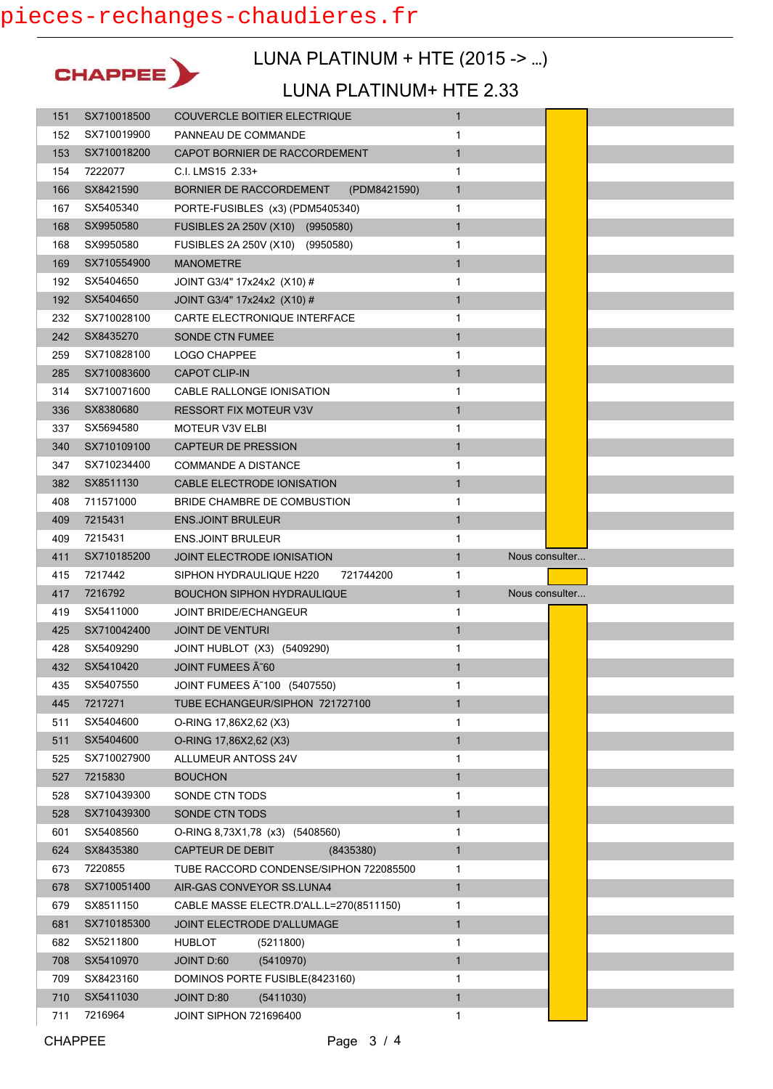

### LUNA PLATINUM + HTE (2015 -> …)

#### LUNA PLATINUM+ HTE 2.33

| 151        | SX710018500          | <b>COUVERCLE BOITIER ELECTRIQUE</b>                      | $\mathbf{1}$ |                |
|------------|----------------------|----------------------------------------------------------|--------------|----------------|
| 152        | SX710019900          | PANNEAU DE COMMANDE                                      | 1            |                |
| 153        | SX710018200          | CAPOT BORNIER DE RACCORDEMENT                            | $\mathbf{1}$ |                |
| 154        | 7222077              | C.I. LMS15 2.33+                                         | 1            |                |
| 166        | SX8421590            | BORNIER DE RACCORDEMENT<br>(PDM8421590)                  | $\mathbf{1}$ |                |
| 167        | SX5405340            | PORTE-FUSIBLES (x3) (PDM5405340)                         | 1            |                |
| 168        | SX9950580            | FUSIBLES 2A 250V (X10) (9950580)                         | $\mathbf{1}$ |                |
| 168        | SX9950580            | FUSIBLES 2A 250V (X10) (9950580)                         | 1            |                |
| 169        | SX710554900          | <b>MANOMETRE</b>                                         | $\mathbf{1}$ |                |
| 192        | SX5404650            | JOINT G3/4" 17x24x2 (X10) #                              | 1            |                |
| 192        | SX5404650            | JOINT G3/4" 17x24x2 (X10) #                              | $\mathbf{1}$ |                |
| 232        | SX710028100          | CARTE ELECTRONIQUE INTERFACE                             | 1            |                |
| 242        | SX8435270            | <b>SONDE CTN FUMEE</b>                                   | $\mathbf{1}$ |                |
| 259        | SX710828100          | LOGO CHAPPEE                                             | 1            |                |
| 285        | SX710083600          | <b>CAPOT CLIP-IN</b>                                     | $\mathbf{1}$ |                |
| 314        | SX710071600          | CABLE RALLONGE IONISATION                                | 1            |                |
| 336        | SX8380680            | <b>RESSORT FIX MOTEUR V3V</b>                            | $\mathbf{1}$ |                |
| 337        | SX5694580            | MOTEUR V3V ELBI                                          | 1            |                |
| 340        | SX710109100          | <b>CAPTEUR DE PRESSION</b>                               | $\mathbf{1}$ |                |
| 347        | SX710234400          | <b>COMMANDE A DISTANCE</b>                               | 1            |                |
| 382        | SX8511130            | CABLE ELECTRODE IONISATION                               | $\mathbf{1}$ |                |
| 408        | 711571000            | BRIDE CHAMBRE DE COMBUSTION                              | 1            |                |
| 409        | 7215431              | <b>ENS.JOINT BRULEUR</b>                                 | $\mathbf{1}$ |                |
| 409        | 7215431              | <b>ENS.JOINT BRULEUR</b>                                 | 1            |                |
| 411        | SX710185200          | JOINT ELECTRODE IONISATION                               | $\mathbf{1}$ | Nous consulter |
|            |                      |                                                          |              |                |
| 415        | 7217442              | 721744200<br>SIPHON HYDRAULIQUE H220                     | 1            |                |
| 417        | 7216792              | <b>BOUCHON SIPHON HYDRAULIQUE</b>                        | $\mathbf{1}$ | Nous consulter |
| 419        | SX5411000            | <b>JOINT BRIDE/ECHANGEUR</b>                             | 1            |                |
| 425        | SX710042400          | <b>JOINT DE VENTURI</b>                                  | $\mathbf{1}$ |                |
| 428        | SX5409290            | JOINT HUBLOT (X3) (5409290)                              | 1            |                |
| 432        | SX5410420            | JOINT FUMEES A 60                                        | $\mathbf{1}$ |                |
| 435        | SX5407550            | JOINT FUMEES A 100 (5407550)                             | 1            |                |
| 445        | 7217271              | TUBE ECHANGEUR/SIPHON 721727100                          | $\mathbf{1}$ |                |
| 511        | SX5404600            | O-RING 17,86X2,62 (X3)                                   | 1            |                |
| 511        | SX5404600            | O-RING 17,86X2,62 (X3)                                   | $\mathbf{1}$ |                |
| 525        | SX710027900          | <b>ALLUMEUR ANTOSS 24V</b>                               | 1            |                |
| 527        | 7215830              | <b>BOUCHON</b>                                           | $\mathbf{1}$ |                |
| 528        | SX710439300          | SONDE CTN TODS                                           | 1            |                |
| 528        | SX710439300          | SONDE CTN TODS                                           | $\mathbf{1}$ |                |
| 601        | SX5408560            | O-RING 8,73X1,78 (x3) (5408560)                          | 1            |                |
| 624        | SX8435380            | CAPTEUR DE DEBIT<br>(8435380)                            | $\mathbf{1}$ |                |
| 673        | 7220855              | TUBE RACCORD CONDENSE/SIPHON 722085500                   | 1            |                |
| 678        | SX710051400          | AIR-GAS CONVEYOR SS.LUNA4                                | $\mathbf{1}$ |                |
| 679        | SX8511150            | CABLE MASSE ELECTR.D'ALL.L=270(8511150)                  | 1            |                |
| 681        | SX710185300          | JOINT ELECTRODE D'ALLUMAGE                               | $\mathbf{1}$ |                |
| 682        | SX5211800            | <b>HUBLOT</b><br>(5211800)                               | 1            |                |
| 708        | SX5410970            | JOINT D:60<br>(5410970)                                  | $\mathbf{1}$ |                |
| 709        | SX8423160            | DOMINOS PORTE FUSIBLE(8423160)                           | 1            |                |
| 710<br>711 | SX5411030<br>7216964 | JOINT D:80<br>(5411030)<br><b>JOINT SIPHON 721696400</b> | 1<br>1       |                |